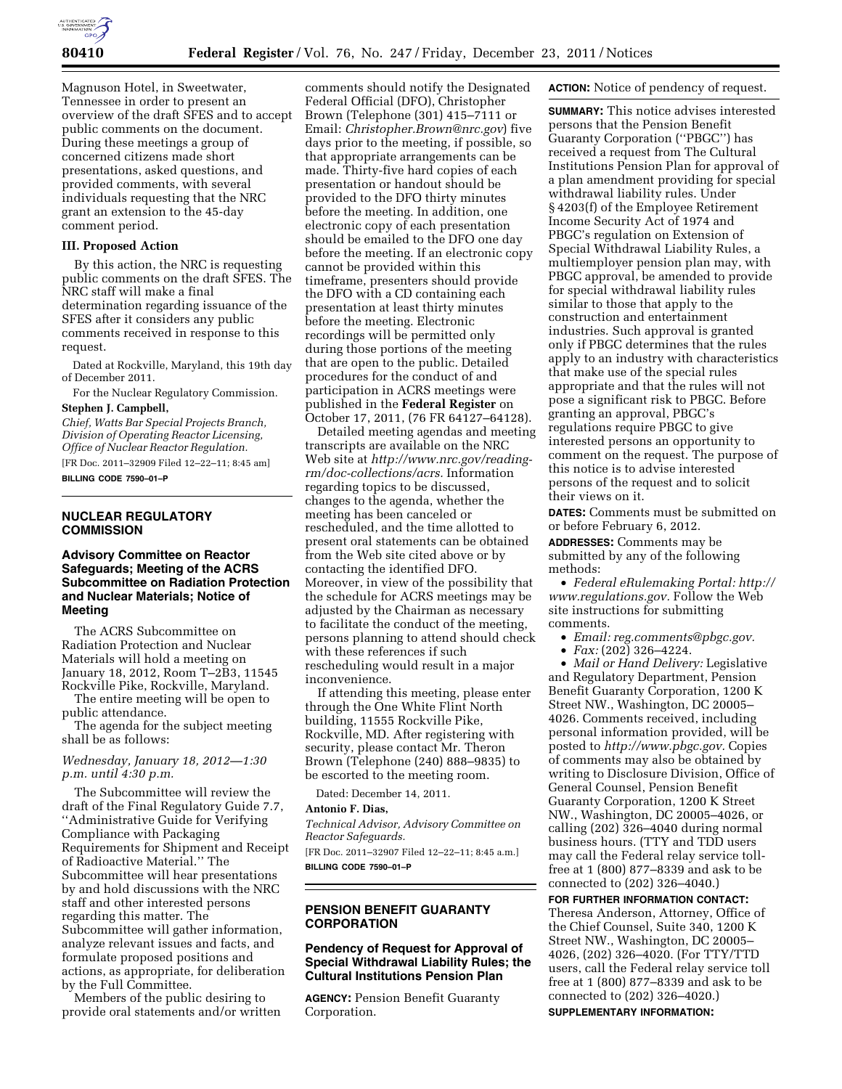

Magnuson Hotel, in Sweetwater, Tennessee in order to present an overview of the draft SFES and to accept public comments on the document. During these meetings a group of concerned citizens made short presentations, asked questions, and provided comments, with several individuals requesting that the NRC grant an extension to the 45-day comment period.

#### **III. Proposed Action**

By this action, the NRC is requesting public comments on the draft SFES. The NRC staff will make a final determination regarding issuance of the SFES after it considers any public comments received in response to this request.

Dated at Rockville, Maryland, this 19th day of December 2011.

For the Nuclear Regulatory Commission. **Stephen J. Campbell,** 

*Chief, Watts Bar Special Projects Branch, Division of Operating Reactor Licensing, Office of Nuclear Reactor Regulation.*  [FR Doc. 2011–32909 Filed 12–22–11; 8:45 am] **BILLING CODE 7590–01–P** 

## **NUCLEAR REGULATORY COMMISSION**

## **Advisory Committee on Reactor Safeguards; Meeting of the ACRS Subcommittee on Radiation Protection and Nuclear Materials; Notice of Meeting**

The ACRS Subcommittee on Radiation Protection and Nuclear Materials will hold a meeting on January 18, 2012, Room T–2B3, 11545 Rockville Pike, Rockville, Maryland.

The entire meeting will be open to public attendance.

The agenda for the subject meeting shall be as follows:

## *Wednesday, January 18, 2012—1:30 p.m. until 4:30 p.m.*

The Subcommittee will review the draft of the Final Regulatory Guide 7.7, ''Administrative Guide for Verifying Compliance with Packaging Requirements for Shipment and Receipt of Radioactive Material.'' The Subcommittee will hear presentations by and hold discussions with the NRC staff and other interested persons regarding this matter. The Subcommittee will gather information, analyze relevant issues and facts, and formulate proposed positions and actions, as appropriate, for deliberation by the Full Committee.

Members of the public desiring to provide oral statements and/or written

comments should notify the Designated Federal Official (DFO), Christopher Brown (Telephone (301) 415–7111 or Email: *Christopher.Brown@nrc.gov*) five days prior to the meeting, if possible, so that appropriate arrangements can be made. Thirty-five hard copies of each presentation or handout should be provided to the DFO thirty minutes before the meeting. In addition, one electronic copy of each presentation should be emailed to the DFO one day before the meeting. If an electronic copy cannot be provided within this timeframe, presenters should provide the DFO with a CD containing each presentation at least thirty minutes before the meeting. Electronic recordings will be permitted only during those portions of the meeting that are open to the public. Detailed procedures for the conduct of and participation in ACRS meetings were published in the **Federal Register** on October 17, 2011, (76 FR 64127–64128).

Detailed meeting agendas and meeting transcripts are available on the NRC Web site at *http://www.nrc.gov/readingrm/doc-collections/acrs.* Information regarding topics to be discussed, changes to the agenda, whether the meeting has been canceled or rescheduled, and the time allotted to present oral statements can be obtained from the Web site cited above or by contacting the identified DFO. Moreover, in view of the possibility that the schedule for ACRS meetings may be adjusted by the Chairman as necessary to facilitate the conduct of the meeting, persons planning to attend should check with these references if such rescheduling would result in a major inconvenience.

If attending this meeting, please enter through the One White Flint North building, 11555 Rockville Pike, Rockville, MD. After registering with security, please contact Mr. Theron Brown (Telephone (240) 888–9835) to be escorted to the meeting room.

Dated: December 14, 2011.

# **Antonio F. Dias,**

*Technical Advisor, Advisory Committee on Reactor Safeguards.*  [FR Doc. 2011–32907 Filed 12–22–11; 8:45 a.m.] **BILLING CODE 7590–01–P** 

#### **PENSION BENEFIT GUARANTY CORPORATION**

## **Pendency of Request for Approval of Special Withdrawal Liability Rules; the Cultural Institutions Pension Plan**

**AGENCY:** Pension Benefit Guaranty Corporation.

**ACTION:** Notice of pendency of request.

**SUMMARY:** This notice advises interested persons that the Pension Benefit Guaranty Corporation (''PBGC'') has received a request from The Cultural Institutions Pension Plan for approval of a plan amendment providing for special withdrawal liability rules. Under § 4203(f) of the Employee Retirement Income Security Act of 1974 and PBGC's regulation on Extension of Special Withdrawal Liability Rules, a multiemployer pension plan may, with PBGC approval, be amended to provide for special withdrawal liability rules similar to those that apply to the construction and entertainment industries. Such approval is granted only if PBGC determines that the rules apply to an industry with characteristics that make use of the special rules appropriate and that the rules will not pose a significant risk to PBGC. Before granting an approval, PBGC's regulations require PBGC to give interested persons an opportunity to comment on the request. The purpose of this notice is to advise interested persons of the request and to solicit their views on it.

**DATES:** Comments must be submitted on or before February 6, 2012.

**ADDRESSES:** Comments may be submitted by any of the following methods:

• *Federal eRulemaking Portal: http:// www.regulations.gov.* Follow the Web site instructions for submitting comments.

• *Email: reg.comments@pbgc.gov.* 

• *Fax:* (202) 326–4224.

• *Mail or Hand Delivery:* Legislative and Regulatory Department, Pension Benefit Guaranty Corporation, 1200 K Street NW., Washington, DC 20005– 4026. Comments received, including personal information provided, will be posted to *http://www.pbgc.gov.* Copies of comments may also be obtained by writing to Disclosure Division, Office of General Counsel, Pension Benefit Guaranty Corporation, 1200 K Street NW., Washington, DC 20005–4026, or calling (202) 326–4040 during normal business hours. (TTY and TDD users may call the Federal relay service tollfree at 1 (800) 877–8339 and ask to be connected to (202) 326–4040.)

#### **FOR FURTHER INFORMATION CONTACT:**

Theresa Anderson, Attorney, Office of the Chief Counsel, Suite 340, 1200 K Street NW., Washington, DC 20005– 4026, (202) 326–4020. (For TTY/TTD users, call the Federal relay service toll free at 1 (800) 877–8339 and ask to be connected to (202) 326–4020.) **SUPPLEMENTARY INFORMATION:**